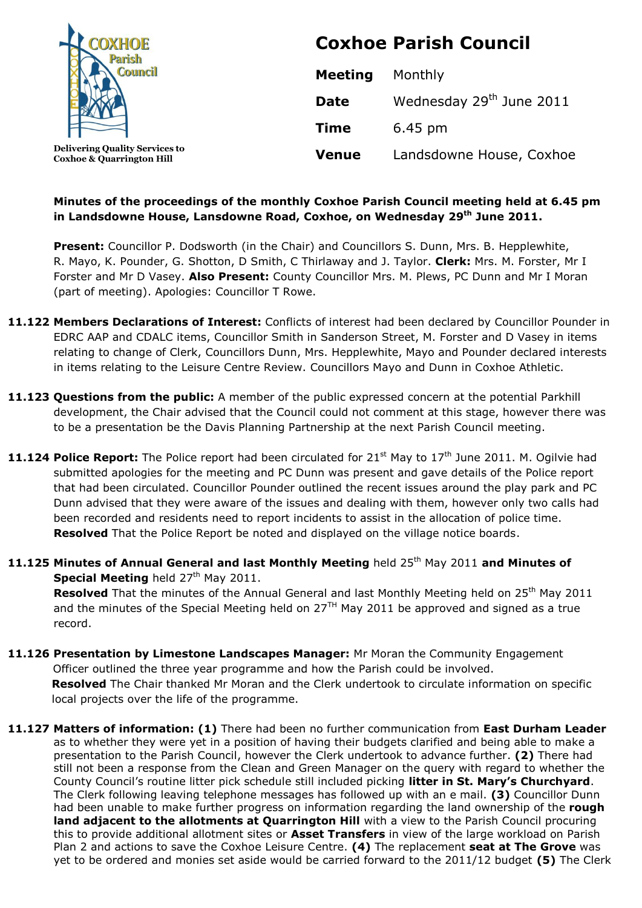

**Coxhoe & Quarrington Hill**

**Coxhoe Parish Council**

| <b>Meeting</b> | Monthly                              |
|----------------|--------------------------------------|
| <b>Date</b>    | Wednesday 29 <sup>th</sup> June 2011 |
| <b>Time</b>    | $6.45 \text{ pm}$                    |
| <b>Venue</b>   | Landsdowne House, Coxhoe             |

### **Minutes of the proceedings of the monthly Coxhoe Parish Council meeting held at 6.45 pm in Landsdowne House, Lansdowne Road, Coxhoe, on Wednesday 29 th June 2011.**

Present: Councillor P. Dodsworth (in the Chair) and Councillors S. Dunn, Mrs. B. Hepplewhite, R. Mayo, K. Pounder, G. Shotton, D Smith, C Thirlaway and J. Taylor. **Clerk:** Mrs. M. Forster, Mr I Forster and Mr D Vasey. **Also Present:** County Councillor Mrs. M. Plews, PC Dunn and Mr I Moran (part of meeting). Apologies: Councillor T Rowe.

- **11.122 Members Declarations of Interest:** Conflicts of interest had been declared by Councillor Pounder in EDRC AAP and CDALC items, Councillor Smith in Sanderson Street, M. Forster and D Vasey in items relating to change of Clerk, Councillors Dunn, Mrs. Hepplewhite, Mayo and Pounder declared interests in items relating to the Leisure Centre Review. Councillors Mayo and Dunn in Coxhoe Athletic.
- **11.123 Questions from the public:** A member of the public expressed concern at the potential Parkhill development, the Chair advised that the Council could not comment at this stage, however there was to be a presentation be the Davis Planning Partnership at the next Parish Council meeting.
- **11.124 Police Report:** The Police report had been circulated for 21<sup>st</sup> May to 17<sup>th</sup> June 2011. M. Ogilvie had submitted apologies for the meeting and PC Dunn was present and gave details of the Police report that had been circulated. Councillor Pounder outlined the recent issues around the play park and PC Dunn advised that they were aware of the issues and dealing with them, however only two calls had been recorded and residents need to report incidents to assist in the allocation of police time. **Resolved** That the Police Report be noted and displayed on the village notice boards.
- **11.125 Minutes of Annual General and last Monthly Meeting** held 25th May 2011 **and Minutes of Special Meeting** held 27<sup>th</sup> May 2011.

Resolved That the minutes of the Annual General and last Monthly Meeting held on 25<sup>th</sup> May 2011 and the minutes of the Special Meeting held on  $27<sup>TH</sup>$  May 2011 be approved and signed as a true record.

- **11.126 Presentation by Limestone Landscapes Manager:** Mr Moran the Community Engagement Officer outlined the three year programme and how the Parish could be involved.  **Resolved** The Chair thanked Mr Moran and the Clerk undertook to circulate information on specific local projects over the life of the programme.
- **11.127 Matters of information: (1)** There had been no further communication from **East Durham Leader** as to whether they were yet in a position of having their budgets clarified and being able to make a presentation to the Parish Council, however the Clerk undertook to advance further. **(2)** There had still not been a response from the Clean and Green Manager on the query with regard to whether the County Council's routine litter pick schedule still included picking **litter in St. Mary's Churchyard**. The Clerk following leaving telephone messages has followed up with an e mail. **(3)** Councillor Dunn had been unable to make further progress on information regarding the land ownership of the **rough land adjacent to the allotments at Quarrington Hill** with a view to the Parish Council procuring this to provide additional allotment sites or **Asset Transfers** in view of the large workload on Parish Plan 2 and actions to save the Coxhoe Leisure Centre. **(4)** The replacement **seat at The Grove** was yet to be ordered and monies set aside would be carried forward to the 2011/12 budget **(5)** The Clerk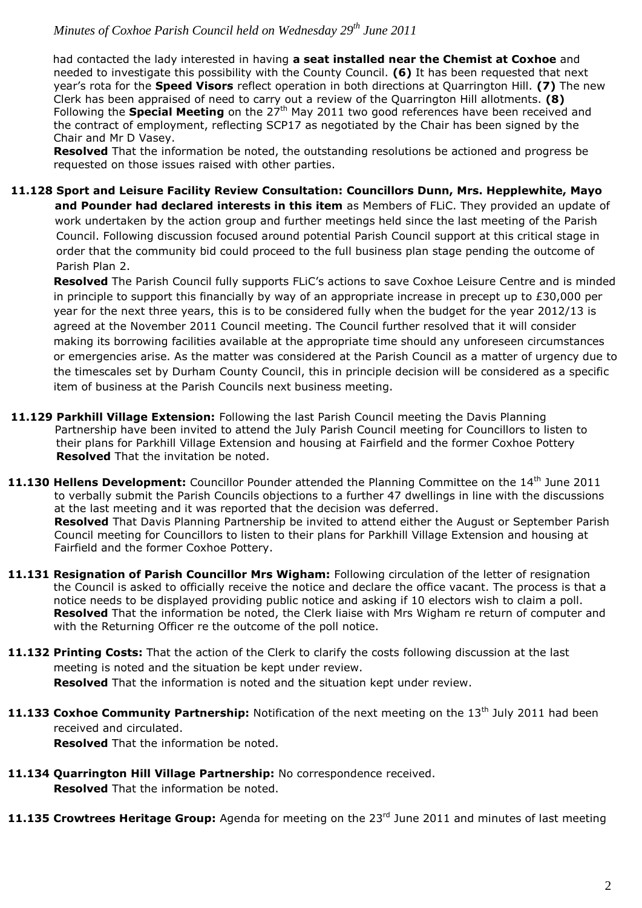# *Minutes of Coxhoe Parish Council held on Wednesday 29 th June 2011*

 had contacted the lady interested in having **a seat installed near the Chemist at Coxhoe** and needed to investigate this possibility with the County Council. **(6)** It has been requested that next year's rota for the **Speed Visors** reflect operation in both directions at Quarrington Hill. **(7)** The new Clerk has been appraised of need to carry out a review of the Quarrington Hill allotments. **(8)** Following the **Special Meeting** on the 27<sup>th</sup> May 2011 two good references have been received and the contract of employment, reflecting SCP17 as negotiated by the Chair has been signed by the Chair and Mr D Vasey.

**Resolved** That the information be noted, the outstanding resolutions be actioned and progress be requested on those issues raised with other parties.

**11.128 Sport and Leisure Facility Review Consultation: Councillors Dunn, Mrs. Hepplewhite, Mayo and Pounder had declared interests in this item** as Members of FLiC. They provided an update of work undertaken by the action group and further meetings held since the last meeting of the Parish Council. Following discussion focused around potential Parish Council support at this critical stage in order that the community bid could proceed to the full business plan stage pending the outcome of Parish Plan 2.

**Resolved** The Parish Council fully supports FLiC's actions to save Coxhoe Leisure Centre and is minded in principle to support this financially by way of an appropriate increase in precept up to £30,000 per year for the next three years, this is to be considered fully when the budget for the year 2012/13 is agreed at the November 2011 Council meeting. The Council further resolved that it will consider making its borrowing facilities available at the appropriate time should any unforeseen circumstances or emergencies arise. As the matter was considered at the Parish Council as a matter of urgency due to the timescales set by Durham County Council, this in principle decision will be considered as a specific item of business at the Parish Councils next business meeting.

- **11.129 Parkhill Village Extension:** Following the last Parish Council meeting the Davis Planning Partnership have been invited to attend the July Parish Council meeting for Councillors to listen to their plans for Parkhill Village Extension and housing at Fairfield and the former Coxhoe Pottery **Resolved** That the invitation be noted.
- **11.130 Hellens Development:** Councillor Pounder attended the Planning Committee on the 14<sup>th</sup> June 2011 to verbally submit the Parish Councils objections to a further 47 dwellings in line with the discussions at the last meeting and it was reported that the decision was deferred. **Resolved** That Davis Planning Partnership be invited to attend either the August or September Parish Council meeting for Councillors to listen to their plans for Parkhill Village Extension and housing at Fairfield and the former Coxhoe Pottery.
- **11.131 Resignation of Parish Councillor Mrs Wigham:** Following circulation of the letter of resignation the Council is asked to officially receive the notice and declare the office vacant. The process is that a notice needs to be displayed providing public notice and asking if 10 electors wish to claim a poll. **Resolved** That the information be noted, the Clerk liaise with Mrs Wigham re return of computer and with the Returning Officer re the outcome of the poll notice.
- **11.132 Printing Costs:** That the action of the Clerk to clarify the costs following discussion at the last meeting is noted and the situation be kept under review. **Resolved** That the information is noted and the situation kept under review.
- 11.133 Coxhoe Community Partnership: Notification of the next meeting on the 13<sup>th</sup> July 2011 had been received and circulated. **Resolved** That the information be noted.
- **11.134 Quarrington Hill Village Partnership:** No correspondence received. **Resolved** That the information be noted.
- 11.135 Crowtrees Heritage Group: Agenda for meeting on the 23<sup>rd</sup> June 2011 and minutes of last meeting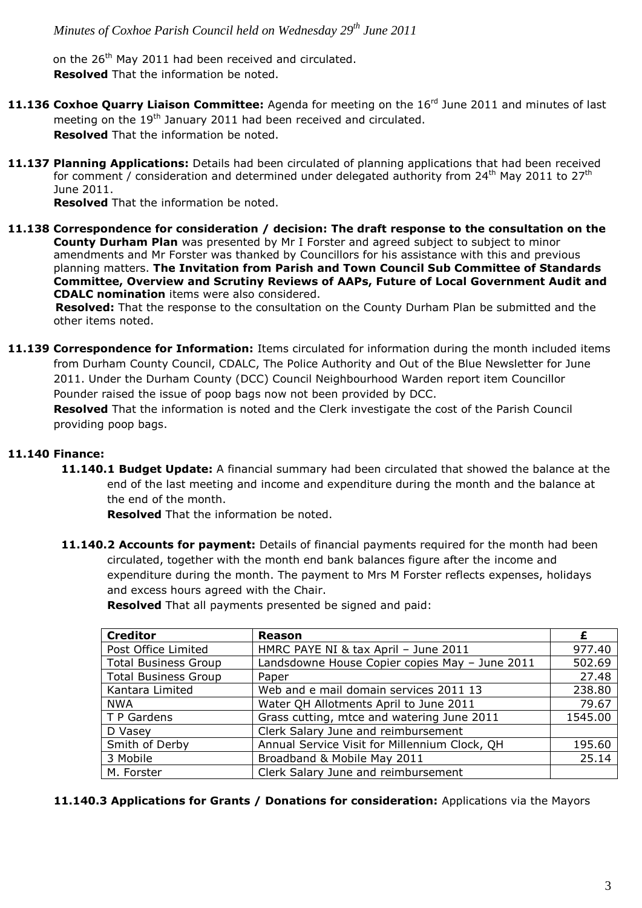on the 26<sup>th</sup> May 2011 had been received and circulated. **Resolved** That the information be noted.

- **11.136 Coxhoe Quarry Liaison Committee:** Agenda for meeting on the 16rd June 2011 and minutes of last meeting on the 19<sup>th</sup> January 2011 had been received and circulated. **Resolved** That the information be noted.
- **11.137 Planning Applications:** Details had been circulated of planning applications that had been received for comment / consideration and determined under delegated authority from  $24<sup>th</sup>$  May 2011 to  $27<sup>th</sup>$ June 2011.

**Resolved** That the information be noted.

**11.138 Correspondence for consideration / decision: The draft response to the consultation on the County Durham Plan** was presented by Mr I Forster and agreed subject to subject to minor amendments and Mr Forster was thanked by Councillors for his assistance with this and previous planning matters. **The Invitation from Parish and Town Council Sub Committee of Standards Committee, Overview and Scrutiny Reviews of AAPs, Future of Local Government Audit and CDALC nomination** items were also considered.

 **Resolved:** That the response to the consultation on the County Durham Plan be submitted and the other items noted.

**11.139 Correspondence for Information:** Items circulated for information during the month included items from Durham County Council, CDALC, The Police Authority and Out of the Blue Newsletter for June 2011. Under the Durham County (DCC) Council Neighbourhood Warden report item Councillor Pounder raised the issue of poop bags now not been provided by DCC.

**Resolved** That the information is noted and the Clerk investigate the cost of the Parish Council providing poop bags.

### **11.140 Finance:**

**11.140.1 Budget Update:** A financial summary had been circulated that showed the balance at the end of the last meeting and income and expenditure during the month and the balance at the end of the month.

**Resolved** That the information be noted.

**11.140.2 Accounts for payment:** Details of financial payments required for the month had been circulated, together with the month end bank balances figure after the income and expenditure during the month. The payment to Mrs M Forster reflects expenses, holidays and excess hours agreed with the Chair.

| Resolved That all payments presented be signed and paid: |  |  |  |  |  |
|----------------------------------------------------------|--|--|--|--|--|
|----------------------------------------------------------|--|--|--|--|--|

| <b>Creditor</b>             | <b>Reason</b>                                  | £       |
|-----------------------------|------------------------------------------------|---------|
| Post Office Limited         | HMRC PAYE NI & tax April - June 2011           | 977.40  |
| <b>Total Business Group</b> | Landsdowne House Copier copies May - June 2011 | 502.69  |
| <b>Total Business Group</b> | Paper                                          | 27.48   |
| Kantara Limited             | Web and e mail domain services 2011 13         | 238.80  |
| <b>NWA</b>                  | Water QH Allotments April to June 2011         | 79.67   |
| T P Gardens                 | Grass cutting, mtce and watering June 2011     | 1545.00 |
| D Vasey                     | Clerk Salary June and reimbursement            |         |
| Smith of Derby              | Annual Service Visit for Millennium Clock, QH  | 195.60  |
| 3 Mobile                    | Broadband & Mobile May 2011                    | 25.14   |
| M. Forster                  | Clerk Salary June and reimbursement            |         |

**11.140.3 Applications for Grants / Donations for consideration:** Applications via the Mayors